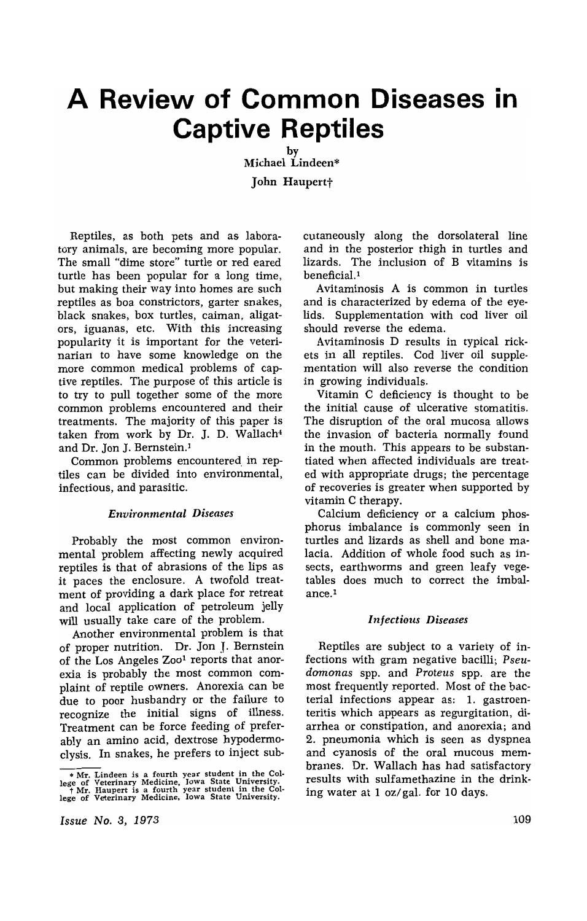# **A Review of Common Diseases in Captive Reptiles**

by Michael Lindeen\* John Haupertt

Reptiles, as both pets and as laboratory animals, are becoming more popular. The small "dime store" turtle or red eared turtle has been popular for a long time, but making their way into homes are such reptiles as boa constrictors, garter snakes, black snakes, box turtles, caiman, aligators, iguanas, etc. With this increasing popularity it is important for the veterinarian to have some knowledge on the more common medical problems of captive reptiles. The purpose of this article is to try to pull together some of the more common problems encountered and their treatments. The majority of this paper is taken from work by Dr. J. D. Wallach<sup>4</sup> and Dr. Jon J. Bernstein.<sup>1</sup>

Common problems encountered in reptiles can be divided into environmental, infectious, and parasitic.

### *Environmental Diseases*

Probably the most common environmental problem affecting newly acquired reptiles is that of abrasions of the lips as it paces the enclosure. A twofold treatment of providing a dark place for retreat and local application of petroleum jelly will usually take care of the problem.

Another environmental problem is that of proper nutrition. Dr. Jon J. Bernstein of the Los Angeles Zoo<sup>1</sup> reports that anorexia is probably the most common complaint of reptile owners. Anorexia can be due to poor husbandry or the failure to recognize the initial signs of illness. Treatment can be force feeding of preferably an amino acid, dextrose hypodermoclysis. In snakes, he prefers to inject sub-

*Issue No.3, 1973* 

cutaneously along the dorsolateral line and in the posterior thigh in turtles and lizards. The inclusion of B vitamins is beneficial.<sup>1</sup>

Avitaminosis A is common in turtles and is characterized by edema of the eyelids. Supplementation with cod liver oil should reverse the edema.

Avitaminosis D results in typical rickets in all reptiles. Cod liver oil supplementation will also reverse the condition in growing individuals.

Vitamin C deficiency is thought to be the initial cause of ulcerative stomatitis. The disruption of the oral mucosa allows the invasion of bacteria normally found in the mouth. This appears to be substantiated when affected individuals are treated with appropriate drugs; the percentage of recoveries is greater when supported by vitamin C therapy.

Calcium deficiency or a calcium phosphorus imbalance is commonly seen in turtles and lizards as shell and bone malacia. Addition of whole food such as insects, earthworms and green leafy vegetables does much to correct the imbalance. <sup>I</sup>

#### *Infectious Diseases*

Reptiles are subject to a variety of infections with gram negative bacilli; *Pseudamonas* spp. and *Proteus* spp. are the most frequently reported. Most of the bacterial infections appear as: 1. gastroenteritis which appears as regurgitation, diarrhea or constipation, and anorexia; and 2. pneumonia which is seen as dyspnea and cyanosis of the oral mucous membranes. Dr. Wallach has had satisfactory results with sulfamethazine in the drinking water at 1 oz/ gal. for 10 days.

**to MT.** Lindeen is a fourth year student in the College of Veterinary Medicine, Iowa State University.<br>
I MT. Haupert is a fourth year student in the Col-<br>
lege of Veterinary Medicine, Iowa State University.